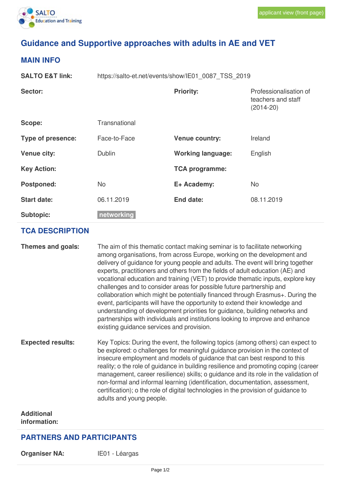

## **Guidance and Supportive approaches with adults in AE and VET**

## **MAIN INFO**

| <b>SALTO E&amp;T link:</b> | https://salto-et.net/events/show/IE01 0087 TSS 2019 |                          |                                                               |  |
|----------------------------|-----------------------------------------------------|--------------------------|---------------------------------------------------------------|--|
| Sector:                    |                                                     | <b>Priority:</b>         | Professionalisation of<br>teachers and staff<br>$(2014 - 20)$ |  |
| Scope:                     | Transnational                                       |                          |                                                               |  |
| <b>Type of presence:</b>   | Face-to-Face                                        | <b>Venue country:</b>    | Ireland                                                       |  |
| <b>Venue city:</b>         | Dublin                                              | <b>Working language:</b> | English                                                       |  |
| <b>Key Action:</b>         |                                                     | <b>TCA programme:</b>    |                                                               |  |
| <b>Postponed:</b>          | <b>No</b>                                           | E+ Academy:              | <b>No</b>                                                     |  |
| <b>Start date:</b>         | 06.11.2019                                          | End date:                | 08.11.2019                                                    |  |
| <b>Subtopic:</b>           | networking                                          |                          |                                                               |  |

## **TCA DESCRIPTION**

| Themes and goals:        | The aim of this thematic contact making seminar is to facilitate networking<br>among organisations, from across Europe, working on the development and<br>delivery of guidance for young people and adults. The event will bring together<br>experts, practitioners and others from the fields of adult education (AE) and<br>vocational education and training (VET) to provide thematic inputs, explore key<br>challenges and to consider areas for possible future partnership and<br>collaboration which might be potentially financed through Erasmus+. During the<br>event, participants will have the opportunity to extend their knowledge and<br>understanding of development priorities for guidance, building networks and<br>partnerships with individuals and institutions looking to improve and enhance<br>existing guidance services and provision. |
|--------------------------|---------------------------------------------------------------------------------------------------------------------------------------------------------------------------------------------------------------------------------------------------------------------------------------------------------------------------------------------------------------------------------------------------------------------------------------------------------------------------------------------------------------------------------------------------------------------------------------------------------------------------------------------------------------------------------------------------------------------------------------------------------------------------------------------------------------------------------------------------------------------|
| <b>Expected results:</b> | Key Topics: During the event, the following topics (among others) can expect to<br>be explored: o challenges for meaningful guidance provision in the context of<br>insecure employment and models of guidance that can best respond to this<br>reality; o the role of guidance in building resilience and promoting coping (career<br>management, career resilience) skills; o guidance and its role in the validation of<br>non-formal and informal learning (identification, documentation, assessment,<br>certification); o the role of digital technologies in the provision of guidance to<br>adults and young people.                                                                                                                                                                                                                                        |

**Additional information:**

## **PARTNERS AND PARTICIPANTS**

**Organiser NA:** IE01 - Léargas